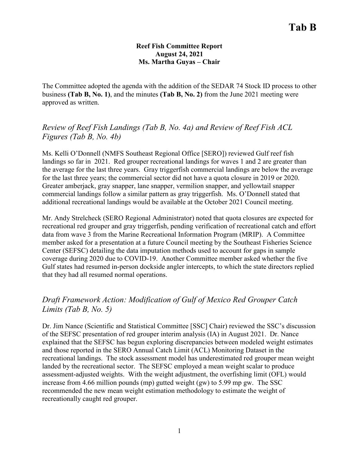#### **Reef Fish Committee Report August 24, 2021 Ms. Martha Guyas – Chair**

The Committee adopted the agenda with the addition of the SEDAR 74 Stock ID process to other business **(Tab B, No. 1)**, and the minutes **(Tab B, No. 2)** from the June 2021 meeting were approved as written.

*Review of Reef Fish Landings (Tab B, No. 4a) and Review of Reef Fish ACL Figures (Tab B, No. 4b)*

Ms. Kelli O'Donnell (NMFS Southeast Regional Office [SERO]) reviewed Gulf reef fish landings so far in 2021. Red grouper recreational landings for waves 1 and 2 are greater than the average for the last three years. Gray triggerfish commercial landings are below the average for the last three years; the commercial sector did not have a quota closure in 2019 or 2020. Greater amberjack, gray snapper, lane snapper, vermilion snapper, and yellowtail snapper commercial landings follow a similar pattern as gray triggerfish. Ms. O'Donnell stated that additional recreational landings would be available at the October 2021 Council meeting.

Mr. Andy Strelcheck (SERO Regional Administrator) noted that quota closures are expected for recreational red grouper and gray triggerfish, pending verification of recreational catch and effort data from wave 3 from the Marine Recreational Information Program (MRIP). A Committee member asked for a presentation at a future Council meeting by the Southeast Fisheries Science Center (SEFSC) detailing the data imputation methods used to account for gaps in sample coverage during 2020 due to COVID-19. Another Committee member asked whether the five Gulf states had resumed in-person dockside angler intercepts, to which the state directors replied that they had all resumed normal operations.

# *Draft Framework Action: Modification of Gulf of Mexico Red Grouper Catch Limits (Tab B, No. 5)*

Dr. Jim Nance (Scientific and Statistical Committee [SSC] Chair) reviewed the SSC's discussion of the SEFSC presentation of red grouper interim analysis (IA) in August 2021. Dr. Nance explained that the SEFSC has begun exploring discrepancies between modeled weight estimates and those reported in the SERO Annual Catch Limit (ACL) Monitoring Dataset in the recreational landings. The stock assessment model has underestimated red grouper mean weight landed by the recreational sector. The SEFSC employed a mean weight scalar to produce assessment-adjusted weights. With the weight adjustment, the overfishing limit (OFL) would increase from 4.66 million pounds (mp) gutted weight (gw) to 5.99 mp gw. The SSC recommended the new mean weight estimation methodology to estimate the weight of recreationally caught red grouper.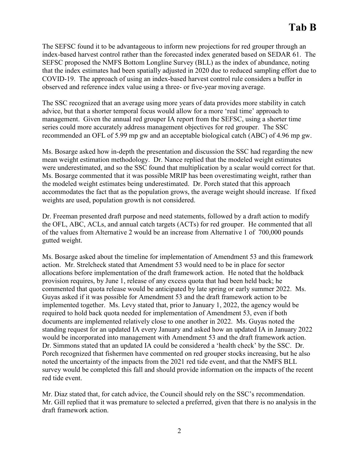The SEFSC found it to be advantageous to inform new projections for red grouper through an index-based harvest control rather than the forecasted index generated based on SEDAR 61. The SEFSC proposed the NMFS Bottom Longline Survey (BLL) as the index of abundance, noting that the index estimates had been spatially adjusted in 2020 due to reduced sampling effort due to COVID-19. The approach of using an index-based harvest control rule considers a buffer in observed and reference index value using a three- or five-year moving average.

The SSC recognized that an average using more years of data provides more stability in catch advice, but that a shorter temporal focus would allow for a more 'real time' approach to management. Given the annual red grouper IA report from the SEFSC, using a shorter time series could more accurately address management objectives for red grouper. The SSC recommended an OFL of 5.99 mp gw and an acceptable biological catch (ABC) of 4.96 mp gw.

Ms. Bosarge asked how in-depth the presentation and discussion the SSC had regarding the new mean weight estimation methodology. Dr. Nance replied that the modeled weight estimates were underestimated, and so the SSC found that multiplication by a scalar would correct for that. Ms. Bosarge commented that it was possible MRIP has been overestimating weight, rather than the modeled weight estimates being underestimated. Dr. Porch stated that this approach accommodates the fact that as the population grows, the average weight should increase. If fixed weights are used, population growth is not considered.

Dr. Freeman presented draft purpose and need statements, followed by a draft action to modify the OFL, ABC, ACLs, and annual catch targets (ACTs) for red grouper. He commented that all of the values from Alternative 2 would be an increase from Alternative 1 of 700,000 pounds gutted weight.

Ms. Bosarge asked about the timeline for implementation of Amendment 53 and this framework action. Mr. Strelcheck stated that Amendment 53 would need to be in place for sector allocations before implementation of the draft framework action. He noted that the holdback provision requires, by June 1, release of any excess quota that had been held back; he commented that quota release would be anticipated by late spring or early summer 2022. Ms. Guyas asked if it was possible for Amendment 53 and the draft framework action to be implemented together. Ms. Levy stated that, prior to January 1, 2022, the agency would be required to hold back quota needed for implementation of Amendment 53, even if both documents are implemented relatively close to one another in 2022. Ms. Guyas noted the standing request for an updated IA every January and asked how an updated IA in January 2022 would be incorporated into management with Amendment 53 and the draft framework action. Dr. Simmons stated that an updated IA could be considered a 'health check' by the SSC. Dr. Porch recognized that fishermen have commented on red grouper stocks increasing, but he also noted the uncertainty of the impacts from the 2021 red tide event, and that the NMFS BLL survey would be completed this fall and should provide information on the impacts of the recent red tide event.

Mr. Diaz stated that, for catch advice, the Council should rely on the SSC's recommendation. Mr. Gill replied that it was premature to selected a preferred, given that there is no analysis in the draft framework action.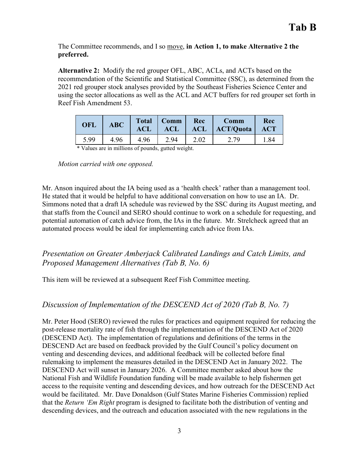The Committee recommends, and I so move, **in Action 1, to make Alternative 2 the preferred.**

**Alternative 2:** Modify the red grouper OFL, ABC, ACLs, and ACTs based on the recommendation of the Scientific and Statistical Committee (SSC), as determined from the 2021 red grouper stock analyses provided by the Southeast Fisheries Science Center and using the sector allocations as well as the ACL and ACT buffers for red grouper set forth in Reef Fish Amendment 53.

| <b>OFL</b> | <b>ABC</b> | <b>Total</b><br>ACL | Comm<br>ACL | Rec<br><b>ACL</b> | Comm<br><b>ACT/Quota</b> | Rec<br><b>ACT</b> |
|------------|------------|---------------------|-------------|-------------------|--------------------------|-------------------|
| 5.99       | 4.96       | 4.96                | 2 94        | 2.02              | $\sim \cdot$ .           | 1.84              |

\* Values are in millions of pounds, gutted weight.

*Motion carried with one opposed.*

Mr. Anson inquired about the IA being used as a 'health check' rather than a management tool. He stated that it would be helpful to have additional conversation on how to use an IA. Dr. Simmons noted that a draft IA schedule was reviewed by the SSC during its August meeting, and that staffs from the Council and SERO should continue to work on a schedule for requesting, and potential automation of catch advice from, the IAs in the future. Mr. Strelcheck agreed that an automated process would be ideal for implementing catch advice from IAs.

# *Presentation on Greater Amberjack Calibrated Landings and Catch Limits, and Proposed Management Alternatives (Tab B, No. 6)*

This item will be reviewed at a subsequent Reef Fish Committee meeting.

## *Discussion of Implementation of the DESCEND Act of 2020 (Tab B, No. 7)*

Mr. Peter Hood (SERO) reviewed the rules for practices and equipment required for reducing the post-release mortality rate of fish through the implementation of the DESCEND Act of 2020 (DESCEND Act). The implementation of regulations and definitions of the terms in the DESCEND Act are based on feedback provided by the Gulf Council's policy document on venting and descending devices, and additional feedback will be collected before final rulemaking to implement the measures detailed in the DESCEND Act in January 2022. The DESCEND Act will sunset in January 2026. A Committee member asked about how the National Fish and Wildlife Foundation funding will be made available to help fishermen get access to the requisite venting and descending devices, and how outreach for the DESCEND Act would be facilitated. Mr. Dave Donaldson (Gulf States Marine Fisheries Commission) replied that the *Return 'Em Right* program is designed to facilitate both the distribution of venting and descending devices, and the outreach and education associated with the new regulations in the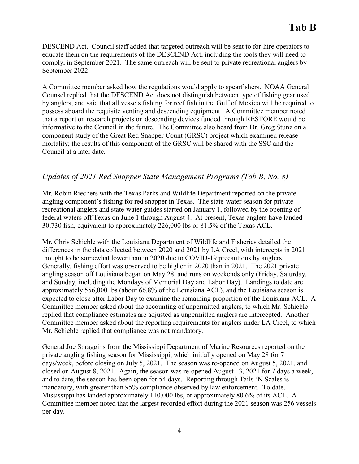DESCEND Act. Council staff added that targeted outreach will be sent to for-hire operators to educate them on the requirements of the DESCEND Act, including the tools they will need to comply, in September 2021. The same outreach will be sent to private recreational anglers by September 2022.

A Committee member asked how the regulations would apply to spearfishers. NOAA General Counsel replied that the DESCEND Act does not distinguish between type of fishing gear used by anglers, and said that all vessels fishing for reef fish in the Gulf of Mexico will be required to possess aboard the requisite venting and descending equipment. A Committee member noted that a report on research projects on descending devices funded through RESTORE would be informative to the Council in the future. The Committee also heard from Dr. Greg Stunz on a component study of the Great Red Snapper Count (GRSC) project which examined release mortality; the results of this component of the GRSC will be shared with the SSC and the Council at a later date.

## *Updates of 2021 Red Snapper State Management Programs (Tab B, No. 8)*

Mr. Robin Riechers with the Texas Parks and Wildlife Department reported on the private angling component's fishing for red snapper in Texas. The state-water season for private recreational anglers and state-water guides started on January 1, followed by the opening of federal waters off Texas on June 1 through August 4. At present, Texas anglers have landed 30,730 fish, equivalent to approximately 226,000 lbs or 81.5% of the Texas ACL.

Mr. Chris Schieble with the Louisiana Department of Wildlife and Fisheries detailed the differences in the data collected between 2020 and 2021 by LA Creel, with intercepts in 2021 thought to be somewhat lower than in 2020 due to COVID-19 precautions by anglers. Generally, fishing effort was observed to be higher in 2020 than in 2021. The 2021 private angling season off Louisiana began on May 28, and runs on weekends only (Friday, Saturday, and Sunday, including the Mondays of Memorial Day and Labor Day). Landings to date are approximately 556,000 lbs (about 66.8% of the Louisiana ACL), and the Louisiana season is expected to close after Labor Day to examine the remaining proportion of the Louisiana ACL. A Committee member asked about the accounting of unpermitted anglers, to which Mr. Schieble replied that compliance estimates are adjusted as unpermitted anglers are intercepted. Another Committee member asked about the reporting requirements for anglers under LA Creel, to which Mr. Schieble replied that compliance was not mandatory.

General Joe Spraggins from the Mississippi Department of Marine Resources reported on the private angling fishing season for Mississippi, which initially opened on May 28 for 7 days/week, before closing on July 5, 2021. The season was re-opened on August 5, 2021, and closed on August 8, 2021. Again, the season was re-opened August 13, 2021 for 7 days a week, and to date, the season has been open for 54 days. Reporting through Tails 'N Scales is mandatory, with greater than 95% compliance observed by law enforcement. To date, Mississippi has landed approximately 110,000 lbs, or approximately 80.6% of its ACL. A Committee member noted that the largest recorded effort during the 2021 season was 256 vessels per day.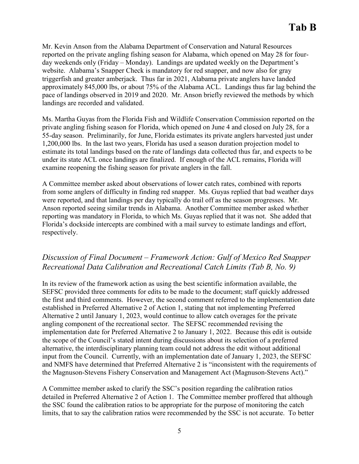Mr. Kevin Anson from the Alabama Department of Conservation and Natural Resources reported on the private angling fishing season for Alabama, which opened on May 28 for fourday weekends only (Friday – Monday). Landings are updated weekly on the Department's website. Alabama's Snapper Check is mandatory for red snapper, and now also for gray triggerfish and greater amberjack. Thus far in 2021, Alabama private anglers have landed approximately 845,000 lbs, or about 75% of the Alabama ACL. Landings thus far lag behind the pace of landings observed in 2019 and 2020. Mr. Anson briefly reviewed the methods by which landings are recorded and validated.

Ms. Martha Guyas from the Florida Fish and Wildlife Conservation Commission reported on the private angling fishing season for Florida, which opened on June 4 and closed on July 28, for a 55-day season. Preliminarily, for June, Florida estimates its private anglers harvested just under 1,200,000 lbs. In the last two years, Florida has used a season duration projection model to estimate its total landings based on the rate of landings data collected thus far, and expects to be under its state ACL once landings are finalized. If enough of the ACL remains, Florida will examine reopening the fishing season for private anglers in the fall.

A Committee member asked about observations of lower catch rates, combined with reports from some anglers of difficulty in finding red snapper. Ms. Guyas replied that bad weather days were reported, and that landings per day typically do trail off as the season progresses. Mr. Anson reported seeing similar trends in Alabama. Another Committee member asked whether reporting was mandatory in Florida, to which Ms. Guyas replied that it was not. She added that Florida's dockside intercepts are combined with a mail survey to estimate landings and effort, respectively.

## *Discussion of Final Document – Framework Action: Gulf of Mexico Red Snapper Recreational Data Calibration and Recreational Catch Limits (Tab B, No. 9)*

In its review of the framework action as using the best scientific information available, the SEFSC provided three comments for edits to be made to the document; staff quickly addressed the first and third comments. However, the second comment referred to the implementation date established in Preferred Alternative 2 of Action 1, stating that not implementing Preferred Alternative 2 until January 1, 2023, would continue to allow catch overages for the private angling component of the recreational sector. The SEFSC recommended revising the implementation date for Preferred Alternative 2 to January 1, 2022. Because this edit is outside the scope of the Council's stated intent during discussions about its selection of a preferred alternative, the interdisciplinary planning team could not address the edit without additional input from the Council. Currently, with an implementation date of January 1, 2023, the SEFSC and NMFS have determined that Preferred Alternative 2 is "inconsistent with the requirements of the Magnuson-Stevens Fishery Conservation and Management Act (Magnuson-Stevens Act)."

A Committee member asked to clarify the SSC's position regarding the calibration ratios detailed in Preferred Alternative 2 of Action 1. The Committee member proffered that although the SSC found the calibration ratios to be appropriate for the purpose of monitoring the catch limits, that to say the calibration ratios were recommended by the SSC is not accurate. To better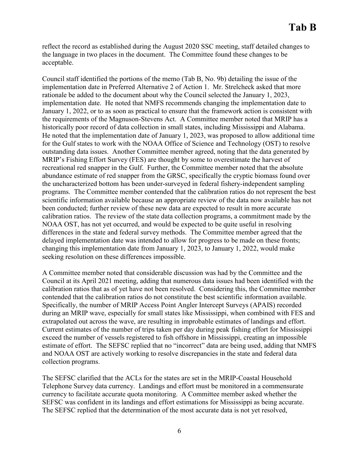reflect the record as established during the August 2020 SSC meeting, staff detailed changes to the language in two places in the document. The Committee found these changes to be acceptable.

Council staff identified the portions of the memo (Tab B, No. 9b) detailing the issue of the implementation date in Preferred Alternative 2 of Action 1. Mr. Strelcheck asked that more rationale be added to the document about why the Council selected the January 1, 2023, implementation date. He noted that NMFS recommends changing the implementation date to January 1, 2022, or to as soon as practical to ensure that the framework action is consistent with the requirements of the Magnuson-Stevens Act. A Committee member noted that MRIP has a historically poor record of data collection in small states, including Mississippi and Alabama. He noted that the implementation date of January 1, 2023, was proposed to allow additional time for the Gulf states to work with the NOAA Office of Science and Technology (OST) to resolve outstanding data issues. Another Committee member agreed, noting that the data generated by MRIP's Fishing Effort Survey (FES) are thought by some to overestimate the harvest of recreational red snapper in the Gulf. Further, the Committee member noted that the absolute abundance estimate of red snapper from the GRSC, specifically the cryptic biomass found over the uncharacterized bottom has been under-surveyed in federal fishery-independent sampling programs. The Committee member contended that the calibration ratios do not represent the best scientific information available because an appropriate review of the data now available has not been conducted; further review of these new data are expected to result in more accurate calibration ratios. The review of the state data collection programs, a commitment made by the NOAA OST, has not yet occurred, and would be expected to be quite useful in resolving differences in the state and federal survey methods. The Committee member agreed that the delayed implementation date was intended to allow for progress to be made on these fronts; changing this implementation date from January 1, 2023, to January 1, 2022, would make seeking resolution on these differences impossible.

A Committee member noted that considerable discussion was had by the Committee and the Council at its April 2021 meeting, adding that numerous data issues had been identified with the calibration ratios that as of yet have not been resolved. Considering this, the Committee member contended that the calibration ratios do not constitute the best scientific information available. Specifically, the number of MRIP Access Point Angler Intercept Surveys (APAIS) recorded during an MRIP wave, especially for small states like Mississippi, when combined with FES and extrapolated out across the wave, are resulting in improbable estimates of landings and effort. Current estimates of the number of trips taken per day during peak fishing effort for Mississippi exceed the number of vessels registered to fish offshore in Mississippi, creating an impossible estimate of effort. The SEFSC replied that no "incorrect" data are being used, adding that NMFS and NOAA OST are actively working to resolve discrepancies in the state and federal data collection programs.

The SEFSC clarified that the ACLs for the states are set in the MRIP-Coastal Household Telephone Survey data currency. Landings and effort must be monitored in a commensurate currency to facilitate accurate quota monitoring. A Committee member asked whether the SEFSC was confident in its landings and effort estimations for Mississippi as being accurate. The SEFSC replied that the determination of the most accurate data is not yet resolved,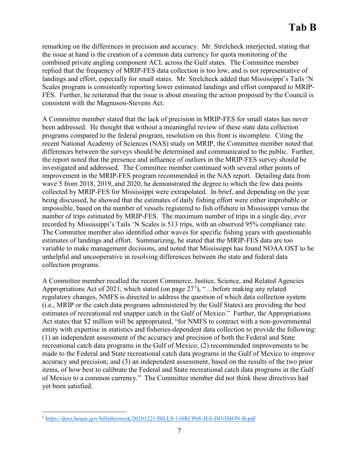remarking on the differences in precision and accuracy. Mr. Strelcheck interjected, stating that the issue at hand is the creation of a common data currency for quota monitoring of the combined private angling component ACL across the Gulf states. The Committee member replied that the frequency of MRIP-FES data collection is too low, and is not representative of landings and effort, especially for small states. Mr. Strelcheck added that Mississippi's Tails 'N Scales program is consistently reporting lower estimated landings and effort compared to MRIP-FES. Further, he reiterated that the issue is about ensuring the action proposed by the Council is consistent with the Magnuson-Stevens Act.

A Committee member stated that the lack of precision in MRIP-FES for small states has never been addressed. He thought that without a meaningful review of these state data collection programs compared to the federal program, resolution on this front is incomplete. Citing the recent National Academy of Sciences (NAS) study on MRIP, the Committee member noted that differences between the surveys should be determined and communicated to the public. Further, the report noted that the presence and influence of outliers in the MRIP-FES survey should be investigated and addressed. The Committee member continued with several other points of improvement in the MRIP-FES program recommended in the NAS report. Detailing data from wave 5 from 2018, 2019, and 2020, he demonstrated the degree to which the few data points collected by MRIP-FES for Mississippi were extrapolated. In brief, and depending on the year being discussed, he showed that the estimates of daily fishing effort were either improbable or impossible, based on the number of vessels registered to fish offshore in Mississippi versus the number of trips estimated by MRIP-FES. The maximum number of trips in a single day, ever recorded by Mississippi's Tails 'N Scales is 513 trips, with an observed 95% compliance rate. The Committee member also identified other waves for specific fishing years with questionable estimates of landings and effort. Summarizing, he stated that the MRIP-FES data are too variable to make management decisions, and noted that Mississippi has found NOAA OST to be unhelpful and uncooperative in resolving differences between the state and federal data collection programs.

A Committee member recalled the recent Commerce, Justice, Science, and Related Agencies Appropriations Act of 202[1](#page-6-0), which stated (on page  $27<sup>1</sup>$ ), "...before making any related regulatory changes, NMFS is directed to address the question of which data collection system (i.e., MRIP or the catch data programs administered by the Gulf States) are providing the best estimates of recreational red snapper catch in the Gulf of Mexico." Further, the Appropriations Act states that \$2 million will be appropriated, "for NMFS to contract with a non-governmental entity with expertise in statistics and fisheries-dependent data collection to provide the following: (1) an independent assessment of the accuracy and precision of both the Federal and State recreational catch data programs in the Gulf of Mexico; (2) recommended improvements to be made to the Federal and State recreational catch data programs in the Gulf of Mexico to improve accuracy and precision; and (3) an independent assessment, based on the results of the two prior items, of how best to calibrate the Federal and State recreational catch data programs in the Gulf of Mexico to a common currency." The Committee member did not think these directives had yet been satisfied.

<span id="page-6-0"></span> <sup>1</sup> <https://docs.house.gov/billsthisweek/20201221/BILLS-116RCP68-JES-DIVISION-B.pdf>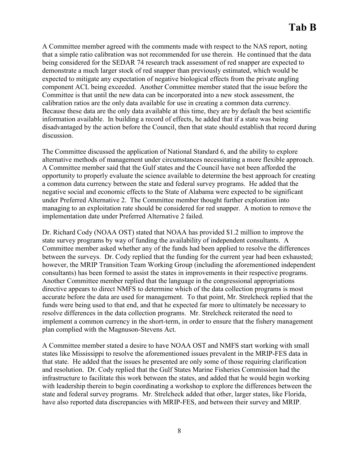A Committee member agreed with the comments made with respect to the NAS report, noting that a simple ratio calibration was not recommended for use therein. He continued that the data being considered for the SEDAR 74 research track assessment of red snapper are expected to demonstrate a much larger stock of red snapper than previously estimated, which would be expected to mitigate any expectation of negative biological effects from the private angling component ACL being exceeded. Another Committee member stated that the issue before the Committee is that until the new data can be incorporated into a new stock assessment, the calibration ratios are the only data available for use in creating a common data currency. Because these data are the only data available at this time, they are by default the best scientific information available. In building a record of effects, he added that if a state was being disadvantaged by the action before the Council, then that state should establish that record during discussion.

The Committee discussed the application of National Standard 6, and the ability to explore alternative methods of management under circumstances necessitating a more flexible approach. A Committee member said that the Gulf states and the Council have not been afforded the opportunity to properly evaluate the science available to determine the best approach for creating a common data currency between the state and federal survey programs. He added that the negative social and economic effects to the State of Alabama were expected to be significant under Preferred Alternative 2. The Committee member thought further exploration into managing to an exploitation rate should be considered for red snapper. A motion to remove the implementation date under Preferred Alternative 2 failed.

Dr. Richard Cody (NOAA OST) stated that NOAA has provided \$1.2 million to improve the state survey programs by way of funding the availability of independent consultants. A Committee member asked whether any of the funds had been applied to resolve the differences between the surveys. Dr. Cody replied that the funding for the current year had been exhausted; however, the MRIP Transition Team Working Group (including the aforementioned independent consultants) has been formed to assist the states in improvements in their respective programs. Another Committee member replied that the language in the congressional appropriations directive appears to direct NMFS to determine which of the data collection programs is most accurate before the data are used for management. To that point, Mr. Strelcheck replied that the funds were being used to that end, and that he expected far more to ultimately be necessary to resolve differences in the data collection programs. Mr. Strelcheck reiterated the need to implement a common currency in the short-term, in order to ensure that the fishery management plan complied with the Magnuson-Stevens Act.

A Committee member stated a desire to have NOAA OST and NMFS start working with small states like Mississippi to resolve the aforementioned issues prevalent in the MRIP-FES data in that state. He added that the issues he presented are only some of those requiring clarification and resolution. Dr. Cody replied that the Gulf States Marine Fisheries Commission had the infrastructure to facilitate this work between the states, and added that he would begin working with leadership therein to begin coordinating a workshop to explore the differences between the state and federal survey programs. Mr. Strelcheck added that other, larger states, like Florida, have also reported data discrepancies with MRIP-FES, and between their survey and MRIP.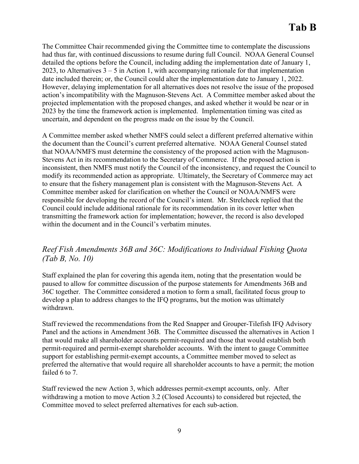The Committee Chair recommended giving the Committee time to contemplate the discussions had thus far, with continued discussions to resume during full Council. NOAA General Counsel detailed the options before the Council, including adding the implementation date of January 1, 2023, to Alternatives  $3 - 5$  in Action 1, with accompanying rationale for that implementation date included therein; or, the Council could alter the implementation date to January 1, 2022. However, delaying implementation for all alternatives does not resolve the issue of the proposed action's incompatibility with the Magnuson-Stevens Act. A Committee member asked about the projected implementation with the proposed changes, and asked whether it would be near or in 2023 by the time the framework action is implemented. Implementation timing was cited as uncertain, and dependent on the progress made on the issue by the Council.

A Committee member asked whether NMFS could select a different preferred alternative within the document than the Council's current preferred alternative. NOAA General Counsel stated that NOAA/NMFS must determine the consistency of the proposed action with the Magnuson-Stevens Act in its recommendation to the Secretary of Commerce. If the proposed action is inconsistent, then NMFS must notify the Council of the inconsistency, and request the Council to modify its recommended action as appropriate. Ultimately, the Secretary of Commerce may act to ensure that the fishery management plan is consistent with the Magnuson-Stevens Act. A Committee member asked for clarification on whether the Council or NOAA/NMFS were responsible for developing the record of the Council's intent. Mr. Strelcheck replied that the Council could include additional rationale for its recommendation in its cover letter when transmitting the framework action for implementation; however, the record is also developed within the document and in the Council's verbatim minutes.

# *Reef Fish Amendments 36B and 36C: Modifications to Individual Fishing Quota (Tab B, No. 10)*

Staff explained the plan for covering this agenda item, noting that the presentation would be paused to allow for committee discussion of the purpose statements for Amendments 36B and 36C together. The Committee considered a motion to form a small, facilitated focus group to develop a plan to address changes to the IFQ programs, but the motion was ultimately withdrawn.

Staff reviewed the recommendations from the Red Snapper and Grouper-Tilefish IFQ Advisory Panel and the actions in Amendment 36B. The Committee discussed the alternatives in Action 1 that would make all shareholder accounts permit-required and those that would establish both permit-required and permit-exempt shareholder accounts. With the intent to gauge Committee support for establishing permit-exempt accounts, a Committee member moved to select as preferred the alternative that would require all shareholder accounts to have a permit; the motion failed 6 to 7.

Staff reviewed the new Action 3, which addresses permit-exempt accounts, only. After withdrawing a motion to move Action 3.2 (Closed Accounts) to considered but rejected, the Committee moved to select preferred alternatives for each sub-action.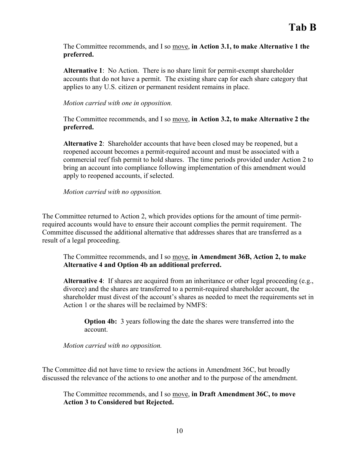The Committee recommends, and I so move, **in Action 3.1, to make Alternative 1 the preferred.**

**Alternative 1**: No Action. There is no share limit for permit-exempt shareholder accounts that do not have a permit. The existing share cap for each share category that applies to any U.S. citizen or permanent resident remains in place.

*Motion carried with one in opposition.*

The Committee recommends, and I so move, **in Action 3.2, to make Alternative 2 the preferred.**

**Alternative 2**: Shareholder accounts that have been closed may be reopened, but a reopened account becomes a permit-required account and must be associated with a commercial reef fish permit to hold shares. The time periods provided under Action 2 to bring an account into compliance following implementation of this amendment would apply to reopened accounts, if selected.

*Motion carried with no opposition.* 

The Committee returned to Action 2, which provides options for the amount of time permitrequired accounts would have to ensure their account complies the permit requirement. The Committee discussed the additional alternative that addresses shares that are transferred as a result of a legal proceeding.

The Committee recommends, and I so move, **in Amendment 36B, Action 2, to make Alternative 4 and Option 4b an additional preferred.** 

**Alternative 4**: If shares are acquired from an inheritance or other legal proceeding (e.g., divorce) and the shares are transferred to a permit-required shareholder account, the shareholder must divest of the account's shares as needed to meet the requirements set in Action 1 or the shares will be reclaimed by NMFS:

**Option 4b:** 3 years following the date the shares were transferred into the account.

*Motion carried with no opposition.* 

The Committee did not have time to review the actions in Amendment 36C, but broadly discussed the relevance of the actions to one another and to the purpose of the amendment.

The Committee recommends, and I so move, **in Draft Amendment 36C, to move Action 3 to Considered but Rejected.**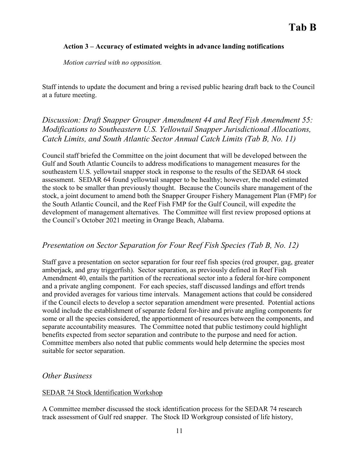#### **Action 3 – Accuracy of estimated weights in advance landing notifications**

*Motion carried with no opposition.* 

Staff intends to update the document and bring a revised public hearing draft back to the Council at a future meeting.

# *Discussion: Draft Snapper Grouper Amendment 44 and Reef Fish Amendment 55: Modifications to Southeastern U.S. Yellowtail Snapper Jurisdictional Allocations, Catch Limits, and South Atlantic Sector Annual Catch Limits (Tab B, No. 11)*

Council staff briefed the Committee on the joint document that will be developed between the Gulf and South Atlantic Councils to address modifications to management measures for the southeastern U.S. yellowtail snapper stock in response to the results of the SEDAR 64 stock assessment. SEDAR 64 found yellowtail snapper to be healthy; however, the model estimated the stock to be smaller than previously thought. Because the Councils share management of the stock, a joint document to amend both the Snapper Grouper Fishery Management Plan (FMP) for the South Atlantic Council, and the Reef Fish FMP for the Gulf Council, will expedite the development of management alternatives. The Committee will first review proposed options at the Council's October 2021 meeting in Orange Beach, Alabama.

## *Presentation on Sector Separation for Four Reef Fish Species (Tab B, No. 12)*

Staff gave a presentation on sector separation for four reef fish species (red grouper, gag, greater amberjack, and gray triggerfish). Sector separation, as previously defined in Reef Fish Amendment 40, entails the partition of the recreational sector into a federal for-hire component and a private angling component. For each species, staff discussed landings and effort trends and provided averages for various time intervals. Management actions that could be considered if the Council elects to develop a sector separation amendment were presented. Potential actions would include the establishment of separate federal for-hire and private angling components for some or all the species considered, the apportionment of resources between the components, and separate accountability measures. The Committee noted that public testimony could highlight benefits expected from sector separation and contribute to the purpose and need for action. Committee members also noted that public comments would help determine the species most suitable for sector separation.

### *Other Business*

### SEDAR 74 Stock Identification Workshop

A Committee member discussed the stock identification process for the SEDAR 74 research track assessment of Gulf red snapper. The Stock ID Workgroup consisted of life history,